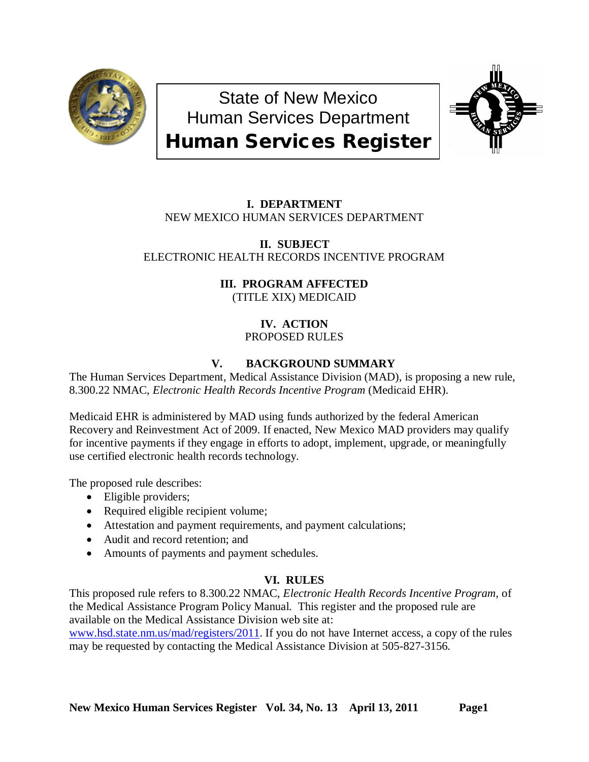

State of New Mexico Human Services Department Human Services Register



# **I. DEPARTMENT** NEW MEXICO HUMAN SERVICES DEPARTMENT

**II. SUBJECT** ELECTRONIC HEALTH RECORDS INCENTIVE PROGRAM

> **III. PROGRAM AFFECTED** (TITLE XIX) MEDICAID

> > **IV. ACTION** PROPOSED RULES

## **V. BACKGROUND SUMMARY**

The Human Services Department, Medical Assistance Division (MAD), is proposing a new rule, 8.300.22 NMAC, *Electronic Health Records Incentive Program* (Medicaid EHR).

Medicaid EHR is administered by MAD using funds authorized by the federal American Recovery and Reinvestment Act of 2009. If enacted, New Mexico MAD providers may qualify for incentive payments if they engage in efforts to adopt, implement, upgrade, or meaningfully use certified electronic health records technology.

The proposed rule describes:

- Eligible providers;
- Required eligible recipient volume;
- Attestation and payment requirements, and payment calculations;
- Audit and record retention; and
- Amounts of payments and payment schedules.

## **VI. RULES**

This proposed rule refers to 8.300.22 NMAC, *Electronic Health Records Incentive Program,* of the Medical Assistance Program Policy Manual. This register and the proposed rule are available on the Medical Assistance Division web site at:

[www.hsd.state.nm.us/mad/registers/2011.](http://www.hsd.state.nm.us/mad/registers/2011) If you do not have Internet access, a copy of the rules may be requested by contacting the Medical Assistance Division at 505-827-3156.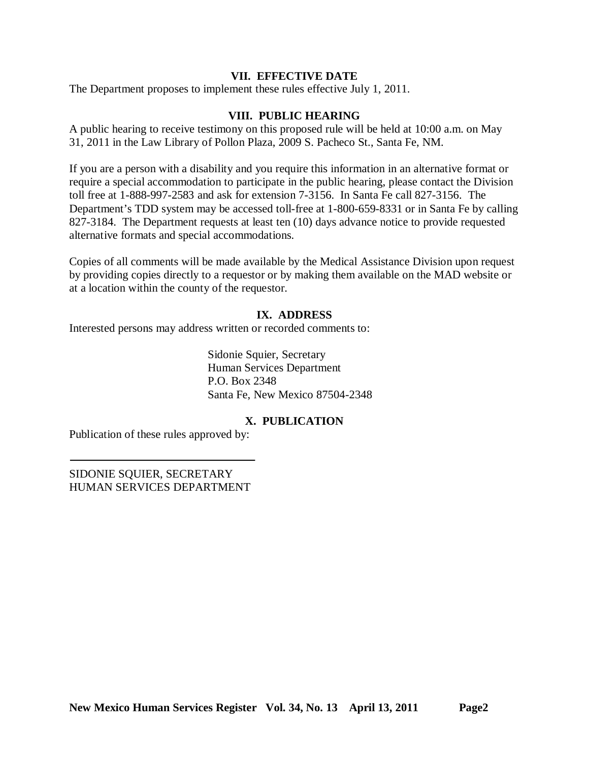### **VII. EFFECTIVE DATE**

The Department proposes to implement these rules effective July 1, 2011.

### **VIII. PUBLIC HEARING**

A public hearing to receive testimony on this proposed rule will be held at 10:00 a.m. on May 31, 2011 in the Law Library of Pollon Plaza, 2009 S. Pacheco St., Santa Fe, NM.

If you are a person with a disability and you require this information in an alternative format or require a special accommodation to participate in the public hearing, please contact the Division toll free at 1-888-997-2583 and ask for extension 7-3156. In Santa Fe call 827-3156. The Department's TDD system may be accessed toll-free at 1-800-659-8331 or in Santa Fe by calling 827-3184. The Department requests at least ten (10) days advance notice to provide requested alternative formats and special accommodations.

Copies of all comments will be made available by the Medical Assistance Division upon request by providing copies directly to a requestor or by making them available on the MAD website or at a location within the county of the requestor.

### **IX. ADDRESS**

Interested persons may address written or recorded comments to:

Sidonie Squier, Secretary Human Services Department P.O. Box 2348 Santa Fe, New Mexico 87504-2348

## **X. PUBLICATION**

Publication of these rules approved by:

SIDONIE SQUIER, SECRETARY HUMAN SERVICES DEPARTMENT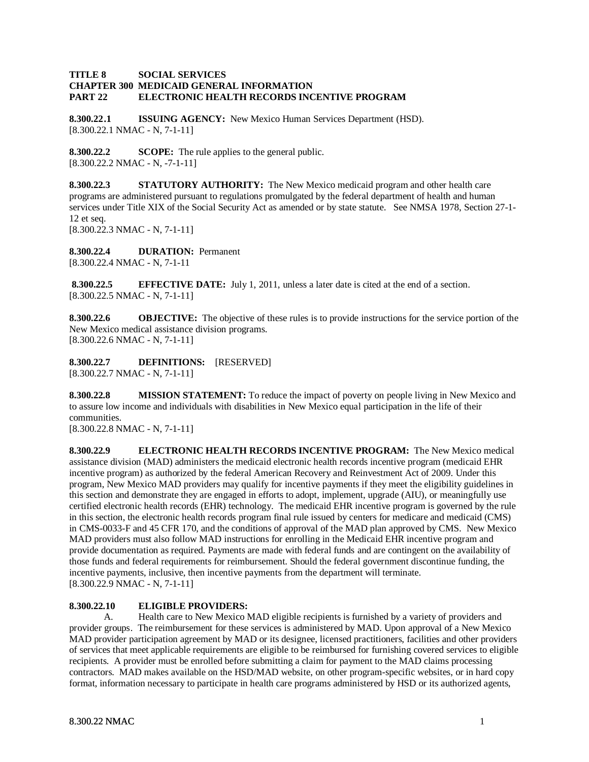#### **TITLE 8 SOCIAL SERVICES CHAPTER 300 MEDICAID GENERAL INFORMATION PART 22 ELECTRONIC HEALTH RECORDS INCENTIVE PROGRAM**

**8.300.22.1 ISSUING AGENCY:** New Mexico Human Services Department (HSD). [8.300.22.1 NMAC - N, 7-1-11]

**8.300.22.2 SCOPE:** The rule applies to the general public. [8.300.22.2 NMAC - N, -7-1-11]

**8.300.22.3 STATUTORY AUTHORITY:** The New Mexico medicaid program and other health care programs are administered pursuant to regulations promulgated by the federal department of health and human services under Title XIX of the Social Security Act as amended or by state statute. See NMSA 1978, Section 27-1- 12 et seq. [8.300.22.3 NMAC - N, 7-1-11]

**8.300.22.4 DURATION:** Permanent [8.300.22.4 NMAC - N, 7-1-11

**8.300.22.5 EFFECTIVE DATE:** July 1, 2011, unless a later date is cited at the end of a section. [8.300.22.5 NMAC - N, 7-1-11]

**8.300.22.6 OBJECTIVE:** The objective of these rules is to provide instructions for the service portion of the New Mexico medical assistance division programs. [8.300.22.6 NMAC - N, 7-1-11]

**8.300.22.7 DEFINITIONS:** [RESERVED] [8.300.22.7 NMAC - N, 7-1-11]

**8.300.22.8 MISSION STATEMENT:** To reduce the impact of poverty on people living in New Mexico and to assure low income and individuals with disabilities in New Mexico equal participation in the life of their communities.

[8.300.22.8 NMAC - N, 7-1-11]

**8.300.22.9 ELECTRONIC HEALTH RECORDS INCENTIVE PROGRAM:** The New Mexico medical assistance division (MAD) administers the medicaid electronic health records incentive program (medicaid EHR incentive program) as authorized by the federal American Recovery and Reinvestment Act of 2009. Under this program, New Mexico MAD providers may qualify for incentive payments if they meet the eligibility guidelines in this section and demonstrate they are engaged in efforts to adopt, implement, upgrade (AIU), or meaningfully use certified electronic health records (EHR) technology. The medicaid EHR incentive program is governed by the rule in this section, the electronic health records program final rule issued by centers for medicare and medicaid (CMS) in CMS-0033-F and 45 CFR 170, and the conditions of approval of the MAD plan approved by CMS. New Mexico MAD providers must also follow MAD instructions for enrolling in the Medicaid EHR incentive program and provide documentation as required. Payments are made with federal funds and are contingent on the availability of those funds and federal requirements for reimbursement. Should the federal government discontinue funding, the incentive payments, inclusive, then incentive payments from the department will terminate. [8.300.22.9 NMAC - N, 7-1-11]

#### **8.300.22.10 ELIGIBLE PROVIDERS:**

A. Health care to New Mexico MAD eligible recipients is furnished by a variety of providers and provider groups. The reimbursement for these services is administered by MAD. Upon approval of a New Mexico MAD provider participation agreement by MAD or its designee, licensed practitioners, facilities and other providers of services that meet applicable requirements are eligible to be reimbursed for furnishing covered services to eligible recipients. A provider must be enrolled before submitting a claim for payment to the MAD claims processing contractors. MAD makes available on the HSD/MAD website, on other program-specific websites, or in hard copy format, information necessary to participate in health care programs administered by HSD or its authorized agents,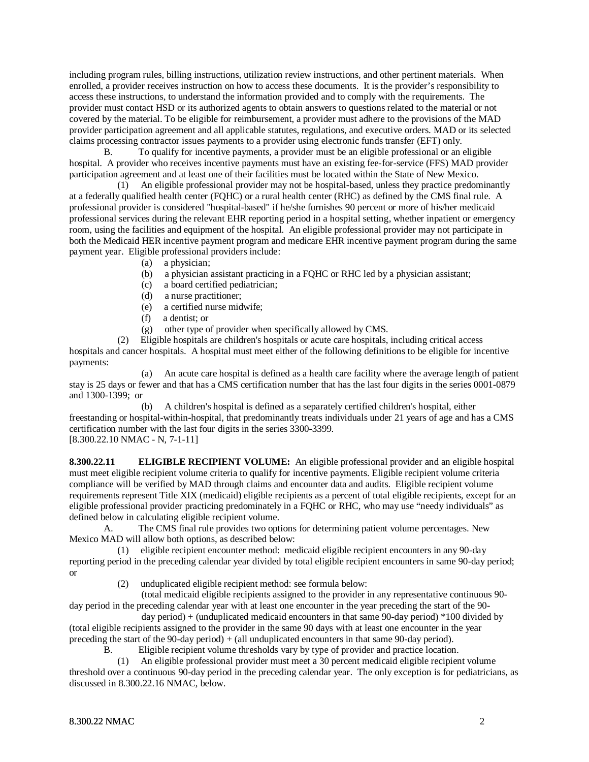including program rules, billing instructions, utilization review instructions, and other pertinent materials. When enrolled, a provider receives instruction on how to access these documents. It is the provider's responsibility to access these instructions, to understand the information provided and to comply with the requirements. The provider must contact HSD or its authorized agents to obtain answers to questions related to the material or not covered by the material. To be eligible for reimbursement, a provider must adhere to the provisions of the MAD provider participation agreement and all applicable statutes, regulations, and executive orders. MAD or its selected claims processing contractor issues payments to a provider using electronic funds transfer (EFT) only.

B. To qualify for incentive payments, a provider must be an eligible professional or an eligible hospital. A provider who receives incentive payments must have an existing fee-for-service (FFS) MAD provider participation agreement and at least one of their facilities must be located within the State of New Mexico.

 (1) An eligible professional provider may not be hospital-based, unless they practice predominantly at a federally qualified health center (FQHC) or a rural health center (RHC) as defined by the CMS final rule. A professional provider is considered "hospital-based" if he/she furnishes 90 percent or more of his/her medicaid professional services during the relevant EHR reporting period in a hospital setting, whether inpatient or emergency room, using the facilities and equipment of the hospital. An eligible professional provider may not participate in both the Medicaid HER incentive payment program and medicare EHR incentive payment program during the same payment year. Eligible professional providers include:

- (a) a physician;
- (b) a physician assistant practicing in a FQHC or RHC led by a physician assistant;
- (c) a board certified pediatrician;
- (d) a nurse practitioner;
- (e) a certified nurse midwife;
- (f) a dentist; or
- (g) other type of provider when specifically allowed by CMS.

 (2) Eligible hospitals are children's hospitals or acute care hospitals, including critical access hospitals and cancer hospitals. A hospital must meet either of the following definitions to be eligible for incentive payments:

 (a) An acute care hospital is defined as a health care facility where the average length of patient stay is 25 days or fewer and that has a CMS certification number that has the last four digits in the series 0001-0879 and 1300-1399; or

 (b) A children's hospital is defined as a separately certified children's hospital, either freestanding or hospital-within-hospital, that predominantly treats individuals under 21 years of age and has a CMS certification number with the last four digits in the series 3300-3399. [8.300.22.10 NMAC - N, 7-1-11]

**8.300.22.11 ELIGIBLE RECIPIENT VOLUME:** An eligible professional provider and an eligible hospital must meet eligible recipient volume criteria to qualify for incentive payments. Eligible recipient volume criteria compliance will be verified by MAD through claims and encounter data and audits. Eligible recipient volume requirements represent Title XIX (medicaid) eligible recipients as a percent of total eligible recipients, except for an eligible professional provider practicing predominately in a FQHC or RHC, who may use "needy individuals" as defined below in calculating eligible recipient volume.

A. The CMS final rule provides two options for determining patient volume percentages. New Mexico MAD will allow both options, as described below:

 (1) eligible recipient encounter method: medicaid eligible recipient encounters in any 90-day reporting period in the preceding calendar year divided by total eligible recipient encounters in same 90-day period; or

(2) unduplicated eligible recipient method: see formula below:

 (total medicaid eligible recipients assigned to the provider in any representative continuous 90 day period in the preceding calendar year with at least one encounter in the year preceding the start of the 90-

 day period) + (unduplicated medicaid encounters in that same 90-day period) \*100 divided by (total eligible recipients assigned to the provider in the same 90 days with at least one encounter in the year preceding the start of the 90-day period) + (all unduplicated encounters in that same 90-day period).

B. Eligible recipient volume thresholds vary by type of provider and practice location.

 (1) An eligible professional provider must meet a 30 percent medicaid eligible recipient volume threshold over a continuous 90-day period in the preceding calendar year. The only exception is for pediatricians, as discussed in 8.300.22.16 NMAC, below.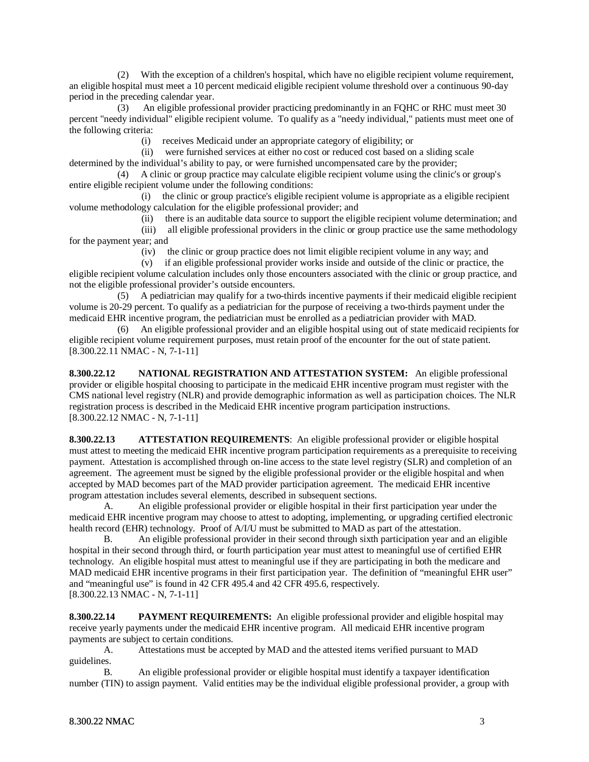(2) With the exception of a children's hospital, which have no eligible recipient volume requirement, an eligible hospital must meet a 10 percent medicaid eligible recipient volume threshold over a continuous 90-day period in the preceding calendar year.

 (3) An eligible professional provider practicing predominantly in an FQHC or RHC must meet 30 percent "needy individual" eligible recipient volume. To qualify as a "needy individual," patients must meet one of the following criteria:

(i) receives Medicaid under an appropriate category of eligibility; or

 (ii) were furnished services at either no cost or reduced cost based on a sliding scale determined by the individual's ability to pay, or were furnished uncompensated care by the provider;

 (4) A clinic or group practice may calculate eligible recipient volume using the clinic's or group's entire eligible recipient volume under the following conditions:

 (i) the clinic or group practice's eligible recipient volume is appropriate as a eligible recipient volume methodology calculation for the eligible professional provider; and

(ii) there is an auditable data source to support the eligible recipient volume determination; and

 (iii) all eligible professional providers in the clinic or group practice use the same methodology for the payment year; and

(iv) the clinic or group practice does not limit eligible recipient volume in any way; and

 (v) if an eligible professional provider works inside and outside of the clinic or practice, the eligible recipient volume calculation includes only those encounters associated with the clinic or group practice, and not the eligible professional provider's outside encounters.

 (5) A pediatrician may qualify for a two-thirds incentive payments if their medicaid eligible recipient volume is 20-29 percent. To qualify as a pediatrician for the purpose of receiving a two-thirds payment under the medicaid EHR incentive program, the pediatrician must be enrolled as a pediatrician provider with MAD.

 (6) An eligible professional provider and an eligible hospital using out of state medicaid recipients for eligible recipient volume requirement purposes, must retain proof of the encounter for the out of state patient. [8.300.22.11 NMAC - N, 7-1-11]

**8.300.22.12 NATIONAL REGISTRATION AND ATTESTATION SYSTEM:** An eligible professional provider or eligible hospital choosing to participate in the medicaid EHR incentive program must register with the CMS national level registry (NLR) and provide demographic information as well as participation choices. The NLR registration process is described in the Medicaid EHR incentive program participation instructions. [8.300.22.12 NMAC - N, 7-1-11]

**8.300.22.13 ATTESTATION REQUIREMENTS**: An eligible professional provider or eligible hospital must attest to meeting the medicaid EHR incentive program participation requirements as a prerequisite to receiving payment. Attestation is accomplished through on-line access to the state level registry (SLR) and completion of an agreement. The agreement must be signed by the eligible professional provider or the eligible hospital and when accepted by MAD becomes part of the MAD provider participation agreement. The medicaid EHR incentive program attestation includes several elements, described in subsequent sections.

A. An eligible professional provider or eligible hospital in their first participation year under the medicaid EHR incentive program may choose to attest to adopting, implementing, or upgrading certified electronic health record (EHR) technology. Proof of A/I/U must be submitted to MAD as part of the attestation.

B. An eligible professional provider in their second through sixth participation year and an eligible hospital in their second through third, or fourth participation year must attest to meaningful use of certified EHR technology. An eligible hospital must attest to meaningful use if they are participating in both the medicare and MAD medicaid EHR incentive programs in their first participation year. The definition of "meaningful EHR user" and "meaningful use" is found in 42 CFR 495.4 and 42 CFR 495.6, respectively. [8.300.22.13 NMAC - N, 7-1-11]

**8.300.22.14 PAYMENT REQUIREMENTS:** An eligible professional provider and eligible hospital may receive yearly payments under the medicaid EHR incentive program. All medicaid EHR incentive program payments are subject to certain conditions.

A. Attestations must be accepted by MAD and the attested items verified pursuant to MAD guidelines.

B. An eligible professional provider or eligible hospital must identify a taxpayer identification number (TIN) to assign payment. Valid entities may be the individual eligible professional provider, a group with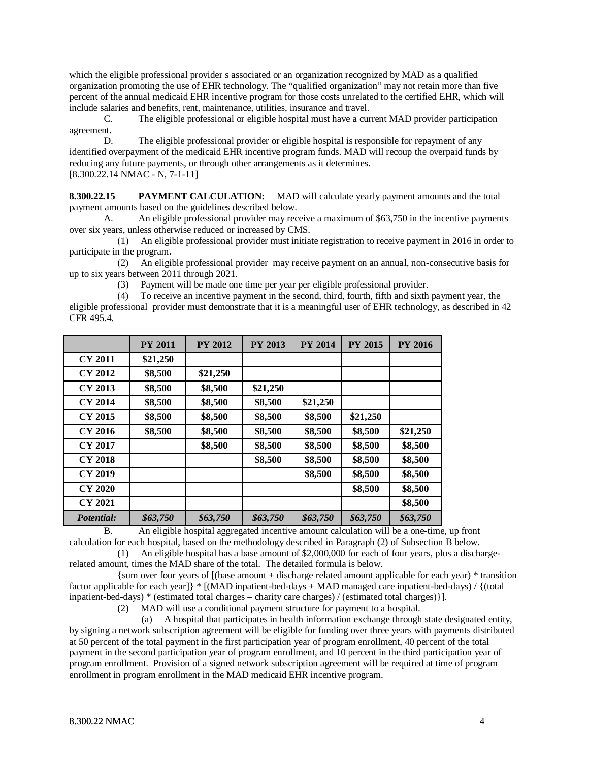which the eligible professional provider s associated or an organization recognized by MAD as a qualified organization promoting the use of EHR technology. The "qualified organization" may not retain more than five percent of the annual medicaid EHR incentive program for those costs unrelated to the certified EHR, which will include salaries and benefits, rent, maintenance, utilities, insurance and travel.

C. The eligible professional or eligible hospital must have a current MAD provider participation agreement.

D. The eligible professional provider or eligible hospital is responsible for repayment of any identified overpayment of the medicaid EHR incentive program funds. MAD will recoup the overpaid funds by reducing any future payments, or through other arrangements as it determines. [8.300.22.14 NMAC - N, 7-1-11]

**8.300.22.15 PAYMENT CALCULATION:** MAD will calculate yearly payment amounts and the total payment amounts based on the guidelines described below.

A. An eligible professional provider may receive a maximum of \$63,750 in the incentive payments over six years, unless otherwise reduced or increased by CMS.

 (1) An eligible professional provider must initiate registration to receive payment in 2016 in order to participate in the program.

 (2) An eligible professional provider may receive payment on an annual, non-consecutive basis for up to six years between 2011 through 2021.

(3) Payment will be made one time per year per eligible professional provider.

 (4) To receive an incentive payment in the second, third, fourth, fifth and sixth payment year, the eligible professional provider must demonstrate that it is a meaningful user of EHR technology, as described in 42 CFR 495.4.

|                | <b>PY 2011</b> | <b>PY 2012</b> | <b>PY 2013</b> | <b>PY 2014</b> | <b>PY 2015</b> | <b>PY 2016</b> |
|----------------|----------------|----------------|----------------|----------------|----------------|----------------|
| CY 2011        | \$21,250       |                |                |                |                |                |
| <b>CY 2012</b> | \$8,500        | \$21,250       |                |                |                |                |
| CY 2013        | \$8,500        | \$8,500        | \$21,250       |                |                |                |
| <b>CY 2014</b> | \$8,500        | \$8,500        | \$8,500        | \$21,250       |                |                |
| CY 2015        | \$8,500        | \$8,500        | \$8,500        | \$8,500        | \$21,250       |                |
| CY 2016        | \$8,500        | \$8,500        | \$8,500        | \$8,500        | \$8,500        | \$21,250       |
| <b>CY 2017</b> |                | \$8,500        | \$8,500        | \$8,500        | \$8,500        | \$8,500        |
| <b>CY 2018</b> |                |                | \$8,500        | \$8,500        | \$8,500        | \$8,500        |
| CY 2019        |                |                |                | \$8,500        | \$8,500        | \$8,500        |
| <b>CY 2020</b> |                |                |                |                | \$8,500        | \$8,500        |
| <b>CY 2021</b> |                |                |                |                |                | \$8,500        |
| Potential:     | \$63,750       | \$63,750       | \$63,750       | \$63,750       | \$63,750       | \$63,750       |

B. An eligible hospital aggregated incentive amount calculation will be a one-time, up front calculation for each hospital, based on the methodology described in Paragraph (2) of Subsection B below.

 (1) An eligible hospital has a base amount of \$2,000,000 for each of four years, plus a dischargerelated amount, times the MAD share of the total. The detailed formula is below.

 {sum over four years of [(base amount + discharge related amount applicable for each year) \* transition factor applicable for each year]} \* [(MAD inpatient-bed-days + MAD managed care inpatient-bed-days) / {(total inpatient-bed-days) \* (estimated total charges – charity care charges) / (estimated total charges)}].

(2) MAD will use a conditional payment structure for payment to a hospital.

 (a) A hospital that participates in health information exchange through state designated entity, by signing a network subscription agreement will be eligible for funding over three years with payments distributed at 50 percent of the total payment in the first participation year of program enrollment, 40 percent of the total payment in the second participation year of program enrollment, and 10 percent in the third participation year of program enrollment. Provision of a signed network subscription agreement will be required at time of program enrollment in program enrollment in the MAD medicaid EHR incentive program.